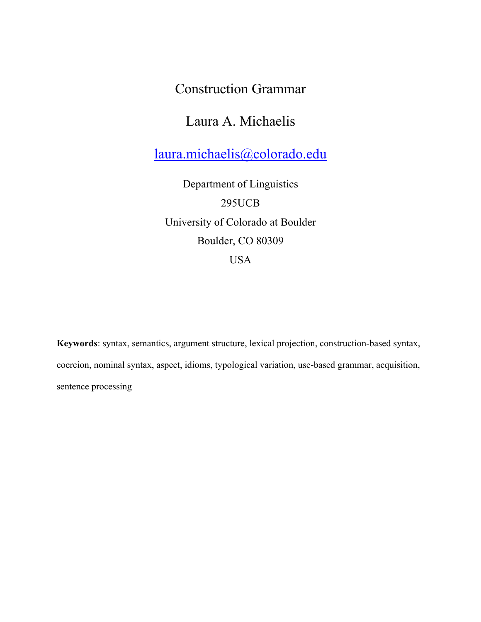# Construction Grammar

# Laura A. Michaelis

laura.michaelis@colorado.edu

Department of Linguistics 295UCB University of Colorado at Boulder Boulder, CO 80309 USA

**Keywords**: syntax, semantics, argument structure, lexical projection, construction-based syntax, coercion, nominal syntax, aspect, idioms, typological variation, use-based grammar, acquisition, sentence processing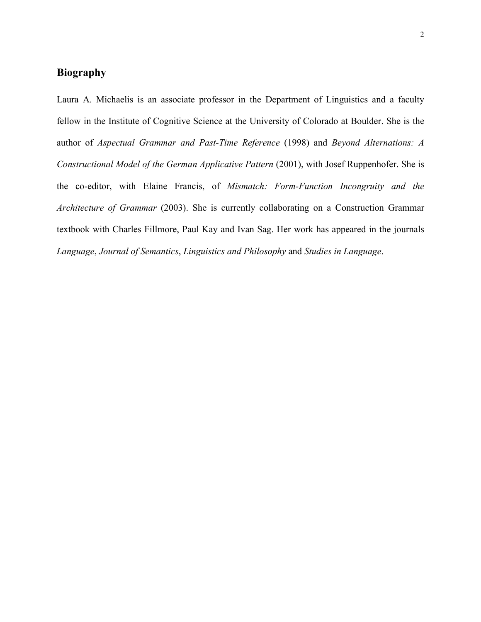# **Biography**

Laura A. Michaelis is an associate professor in the Department of Linguistics and a faculty fellow in the Institute of Cognitive Science at the University of Colorado at Boulder. She is the author of *Aspectual Grammar and Past-Time Reference* (1998) and *Beyond Alternations: A Constructional Model of the German Applicative Pattern* (2001), with Josef Ruppenhofer. She is the co-editor, with Elaine Francis, of *Mismatch: Form-Function Incongruity and the Architecture of Grammar* (2003). She is currently collaborating on a Construction Grammar textbook with Charles Fillmore, Paul Kay and Ivan Sag. Her work has appeared in the journals *Language*, *Journal of Semantics*, *Linguistics and Philosophy* and *Studies in Language*.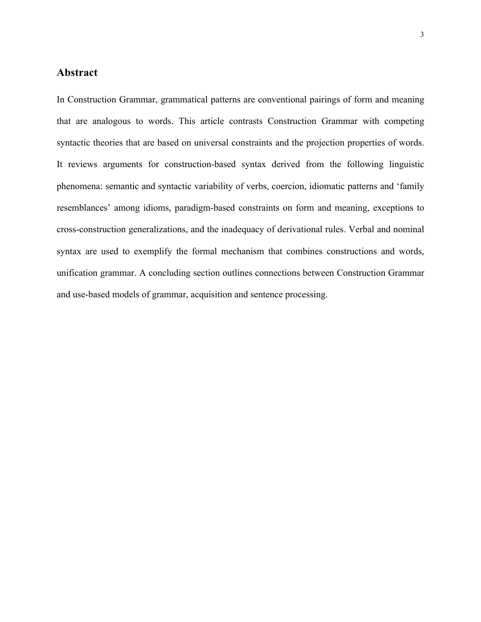### **Abstract**

In Construction Grammar, grammatical patterns are conventional pairings of form and meaning that are analogous to words. This article contrasts Construction Grammar with competing syntactic theories that are based on universal constraints and the projection properties of words. It reviews arguments for construction-based syntax derived from the following linguistic phenomena: semantic and syntactic variability of verbs, coercion, idiomatic patterns and 'family resemblances' among idioms, paradigm-based constraints on form and meaning, exceptions to cross-construction generalizations, and the inadequacy of derivational rules. Verbal and nominal syntax are used to exemplify the formal mechanism that combines constructions and words, unification grammar. A concluding section outlines connections between Construction Grammar and use-based models of grammar, acquisition and sentence processing.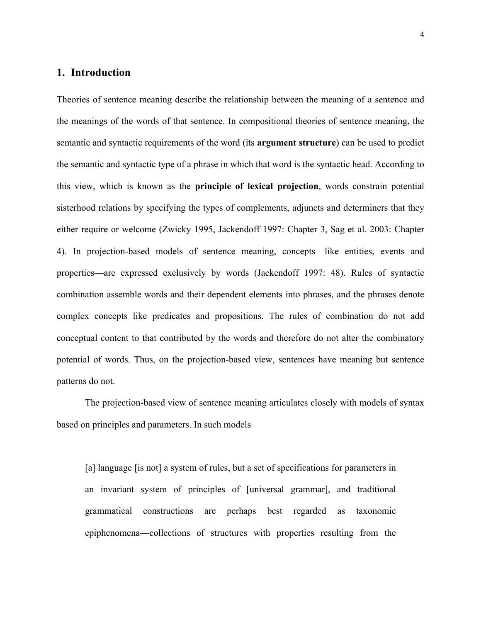## **1. Introduction**

Theories of sentence meaning describe the relationship between the meaning of a sentence and the meanings of the words of that sentence. In compositional theories of sentence meaning, the semantic and syntactic requirements of the word (its **argument structure**) can be used to predict the semantic and syntactic type of a phrase in which that word is the syntactic head. According to this view, which is known as the **principle of lexical projection**, words constrain potential sisterhood relations by specifying the types of complements, adjuncts and determiners that they either require or welcome (Zwicky 1995, Jackendoff 1997: Chapter 3, Sag et al. 2003: Chapter 4). In projection-based models of sentence meaning, concepts—like entities, events and properties—are expressed exclusively by words (Jackendoff 1997: 48). Rules of syntactic combination assemble words and their dependent elements into phrases, and the phrases denote complex concepts like predicates and propositions. The rules of combination do not add conceptual content to that contributed by the words and therefore do not alter the combinatory potential of words. Thus, on the projection-based view, sentences have meaning but sentence patterns do not.

The projection-based view of sentence meaning articulates closely with models of syntax based on principles and parameters. In such models

[a] language [is not] a system of rules, but a set of specifications for parameters in an invariant system of principles of [universal grammar], and traditional grammatical constructions are perhaps best regarded as taxonomic epiphenomena—collections of structures with properties resulting from the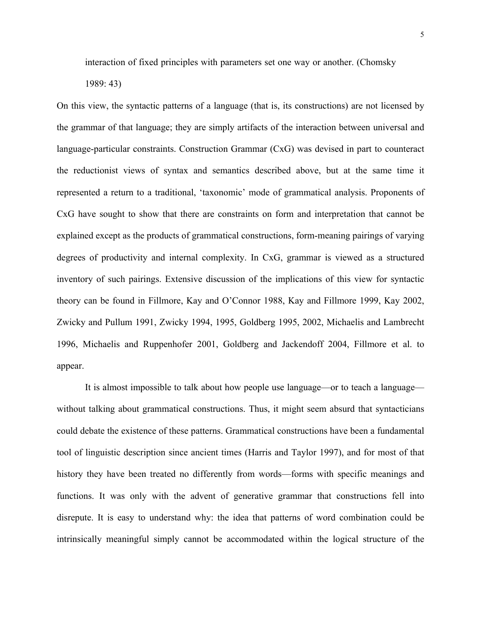interaction of fixed principles with parameters set one way or another. (Chomsky

1989: 43)

On this view, the syntactic patterns of a language (that is, its constructions) are not licensed by the grammar of that language; they are simply artifacts of the interaction between universal and language-particular constraints. Construction Grammar (CxG) was devised in part to counteract the reductionist views of syntax and semantics described above, but at the same time it represented a return to a traditional, 'taxonomic' mode of grammatical analysis. Proponents of CxG have sought to show that there are constraints on form and interpretation that cannot be explained except as the products of grammatical constructions, form-meaning pairings of varying degrees of productivity and internal complexity. In CxG, grammar is viewed as a structured inventory of such pairings. Extensive discussion of the implications of this view for syntactic theory can be found in Fillmore, Kay and O'Connor 1988, Kay and Fillmore 1999, Kay 2002, Zwicky and Pullum 1991, Zwicky 1994, 1995, Goldberg 1995, 2002, Michaelis and Lambrecht 1996, Michaelis and Ruppenhofer 2001, Goldberg and Jackendoff 2004, Fillmore et al. to appear.

It is almost impossible to talk about how people use language—or to teach a language without talking about grammatical constructions. Thus, it might seem absurd that syntacticians could debate the existence of these patterns. Grammatical constructions have been a fundamental tool of linguistic description since ancient times (Harris and Taylor 1997), and for most of that history they have been treated no differently from words—forms with specific meanings and functions. It was only with the advent of generative grammar that constructions fell into disrepute. It is easy to understand why: the idea that patterns of word combination could be intrinsically meaningful simply cannot be accommodated within the logical structure of the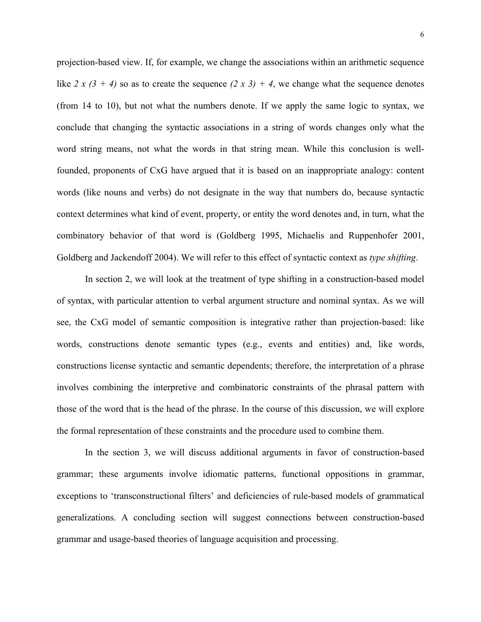projection-based view. If, for example, we change the associations within an arithmetic sequence like 2 x  $(3 + 4)$  so as to create the sequence  $(2 x 3) + 4$ , we change what the sequence denotes (from 14 to 10), but not what the numbers denote. If we apply the same logic to syntax, we conclude that changing the syntactic associations in a string of words changes only what the word string means, not what the words in that string mean. While this conclusion is wellfounded, proponents of CxG have argued that it is based on an inappropriate analogy: content words (like nouns and verbs) do not designate in the way that numbers do, because syntactic context determines what kind of event, property, or entity the word denotes and, in turn, what the combinatory behavior of that word is (Goldberg 1995, Michaelis and Ruppenhofer 2001, Goldberg and Jackendoff 2004). We will refer to this effect of syntactic context as *type shifting*.

In section 2, we will look at the treatment of type shifting in a construction-based model of syntax, with particular attention to verbal argument structure and nominal syntax. As we will see, the CxG model of semantic composition is integrative rather than projection-based: like words, constructions denote semantic types (e.g., events and entities) and, like words, constructions license syntactic and semantic dependents; therefore, the interpretation of a phrase involves combining the interpretive and combinatoric constraints of the phrasal pattern with those of the word that is the head of the phrase. In the course of this discussion, we will explore the formal representation of these constraints and the procedure used to combine them.

In the section 3, we will discuss additional arguments in favor of construction-based grammar; these arguments involve idiomatic patterns, functional oppositions in grammar, exceptions to 'transconstructional filters' and deficiencies of rule-based models of grammatical generalizations. A concluding section will suggest connections between construction-based grammar and usage-based theories of language acquisition and processing.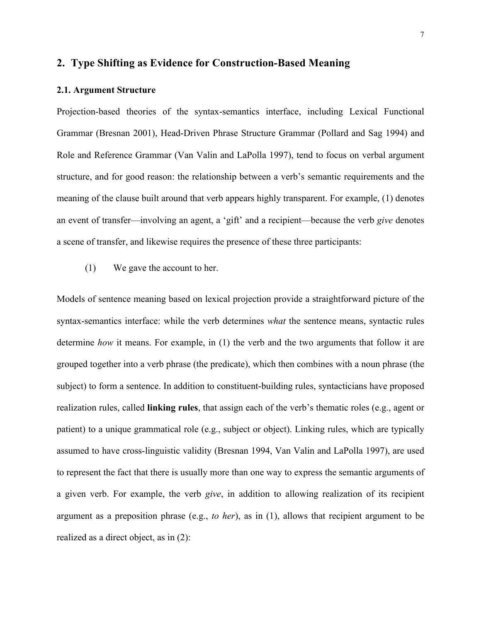#### **2. Type Shifting as Evidence for Construction-Based Meaning**

#### **2.1. Argument Structure**

Projection-based theories of the syntax-semantics interface, including Lexical Functional Grammar (Bresnan 2001), Head-Driven Phrase Structure Grammar (Pollard and Sag 1994) and Role and Reference Grammar (Van Valin and LaPolla 1997), tend to focus on verbal argument structure, and for good reason: the relationship between a verb's semantic requirements and the meaning of the clause built around that verb appears highly transparent. For example, (1) denotes an event of transfer—involving an agent, a 'gift' and a recipient—because the verb *give* denotes a scene of transfer, and likewise requires the presence of these three participants:

(1) We gave the account to her.

Models of sentence meaning based on lexical projection provide a straightforward picture of the syntax-semantics interface: while the verb determines *what* the sentence means, syntactic rules determine *how* it means. For example, in (1) the verb and the two arguments that follow it are grouped together into a verb phrase (the predicate), which then combines with a noun phrase (the subject) to form a sentence. In addition to constituent-building rules, syntacticians have proposed realization rules, called **linking rules**, that assign each of the verb's thematic roles (e.g., agent or patient) to a unique grammatical role (e.g., subject or object). Linking rules, which are typically assumed to have cross-linguistic validity (Bresnan 1994, Van Valin and LaPolla 1997), are used to represent the fact that there is usually more than one way to express the semantic arguments of a given verb. For example, the verb *give*, in addition to allowing realization of its recipient argument as a preposition phrase (e.g., *to her*), as in (1), allows that recipient argument to be realized as a direct object, as in (2):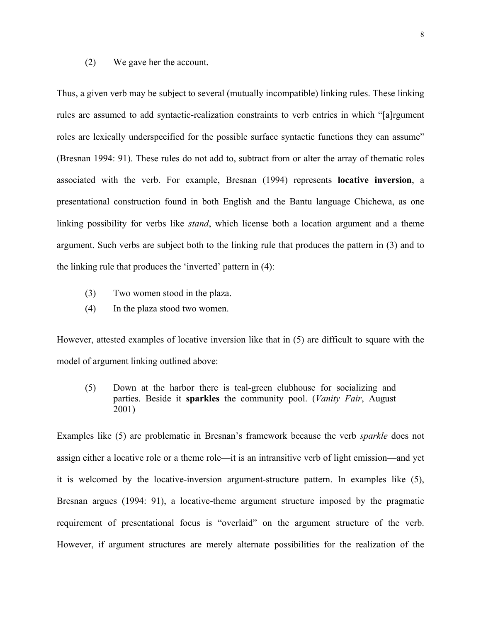#### (2) We gave her the account.

Thus, a given verb may be subject to several (mutually incompatible) linking rules. These linking rules are assumed to add syntactic-realization constraints to verb entries in which "[a]rgument roles are lexically underspecified for the possible surface syntactic functions they can assume" (Bresnan 1994: 91). These rules do not add to, subtract from or alter the array of thematic roles associated with the verb. For example, Bresnan (1994) represents **locative inversion**, a presentational construction found in both English and the Bantu language Chichewa, as one linking possibility for verbs like *stand*, which license both a location argument and a theme argument. Such verbs are subject both to the linking rule that produces the pattern in (3) and to the linking rule that produces the 'inverted' pattern in (4):

- (3) Two women stood in the plaza.
- (4) In the plaza stood two women.

However, attested examples of locative inversion like that in (5) are difficult to square with the model of argument linking outlined above:

(5) Down at the harbor there is teal-green clubhouse for socializing and parties. Beside it **sparkles** the community pool. (*Vanity Fair*, August 2001)

Examples like (5) are problematic in Bresnan's framework because the verb *sparkle* does not assign either a locative role or a theme role—it is an intransitive verb of light emission—and yet it is welcomed by the locative-inversion argument-structure pattern. In examples like (5), Bresnan argues (1994: 91), a locative-theme argument structure imposed by the pragmatic requirement of presentational focus is "overlaid" on the argument structure of the verb. However, if argument structures are merely alternate possibilities for the realization of the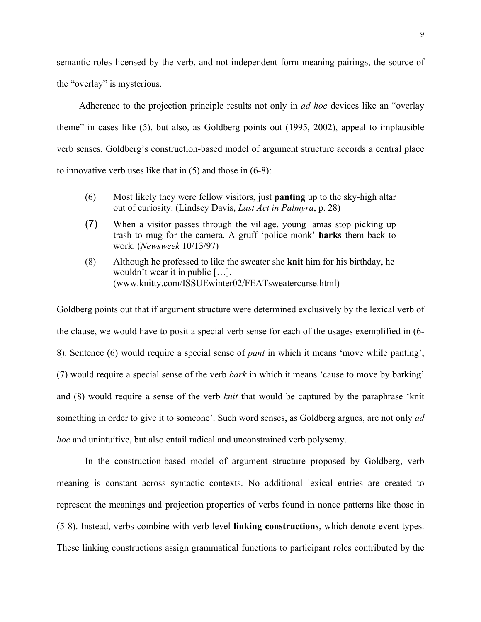semantic roles licensed by the verb, and not independent form-meaning pairings, the source of the "overlay" is mysterious.

Adherence to the projection principle results not only in *ad hoc* devices like an "overlay theme" in cases like (5), but also, as Goldberg points out (1995, 2002), appeal to implausible verb senses. Goldberg's construction-based model of argument structure accords a central place to innovative verb uses like that in (5) and those in (6-8):

- (6) Most likely they were fellow visitors, just **panting** up to the sky-high altar out of curiosity. (Lindsey Davis, *Last Act in Palmyra*, p. 28)
- (7) When a visitor passes through the village, young lamas stop picking up trash to mug for the camera. A gruff 'police monk' **barks** them back to work. (*Newsweek* 10/13/97)
- (8) Although he professed to like the sweater she **knit** him for his birthday, he wouldn't wear it in public […]. (www.knitty.com/ISSUEwinter02/FEATsweatercurse.html)

Goldberg points out that if argument structure were determined exclusively by the lexical verb of the clause, we would have to posit a special verb sense for each of the usages exemplified in (6- 8). Sentence (6) would require a special sense of *pant* in which it means 'move while panting', (7) would require a special sense of the verb *bark* in which it means 'cause to move by barking' and (8) would require a sense of the verb *knit* that would be captured by the paraphrase 'knit something in order to give it to someone'. Such word senses, as Goldberg argues, are not only *ad hoc* and unintuitive, but also entail radical and unconstrained verb polysemy.

In the construction-based model of argument structure proposed by Goldberg, verb meaning is constant across syntactic contexts. No additional lexical entries are created to represent the meanings and projection properties of verbs found in nonce patterns like those in (5-8). Instead, verbs combine with verb-level **linking constructions**, which denote event types. These linking constructions assign grammatical functions to participant roles contributed by the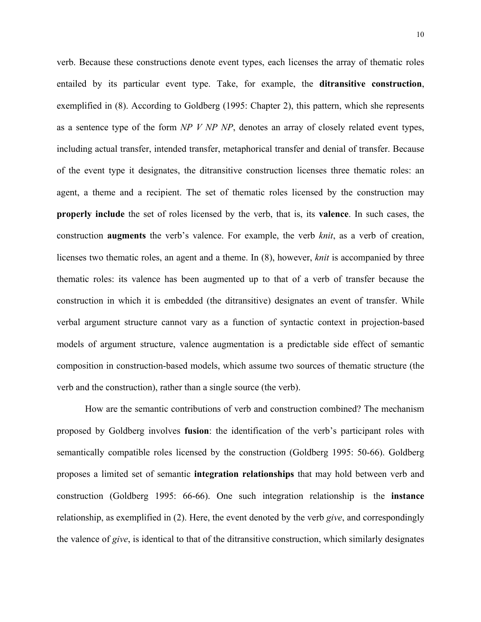verb. Because these constructions denote event types, each licenses the array of thematic roles entailed by its particular event type. Take, for example, the **ditransitive construction**, exemplified in (8). According to Goldberg (1995: Chapter 2), this pattern, which she represents as a sentence type of the form *NP V NP NP*, denotes an array of closely related event types, including actual transfer, intended transfer, metaphorical transfer and denial of transfer. Because of the event type it designates, the ditransitive construction licenses three thematic roles: an agent, a theme and a recipient. The set of thematic roles licensed by the construction may **properly include** the set of roles licensed by the verb, that is, its **valence**. In such cases, the construction **augments** the verb's valence. For example, the verb *knit*, as a verb of creation, licenses two thematic roles, an agent and a theme. In (8), however, *knit* is accompanied by three thematic roles: its valence has been augmented up to that of a verb of transfer because the construction in which it is embedded (the ditransitive) designates an event of transfer. While verbal argument structure cannot vary as a function of syntactic context in projection-based models of argument structure, valence augmentation is a predictable side effect of semantic composition in construction-based models, which assume two sources of thematic structure (the verb and the construction), rather than a single source (the verb).

How are the semantic contributions of verb and construction combined? The mechanism proposed by Goldberg involves **fusion**: the identification of the verb's participant roles with semantically compatible roles licensed by the construction (Goldberg 1995: 50-66). Goldberg proposes a limited set of semantic **integration relationships** that may hold between verb and construction (Goldberg 1995: 66-66). One such integration relationship is the **instance** relationship, as exemplified in (2). Here, the event denoted by the verb *give*, and correspondingly the valence of *give*, is identical to that of the ditransitive construction, which similarly designates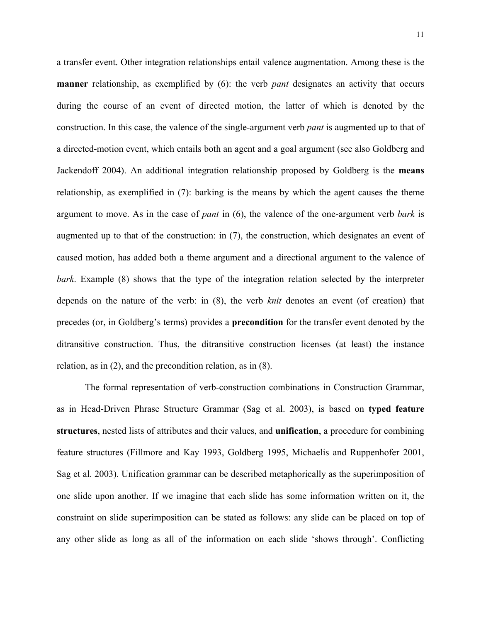a transfer event. Other integration relationships entail valence augmentation. Among these is the **manner** relationship, as exemplified by (6): the verb *pant* designates an activity that occurs during the course of an event of directed motion, the latter of which is denoted by the construction. In this case, the valence of the single-argument verb *pant* is augmented up to that of a directed-motion event, which entails both an agent and a goal argument (see also Goldberg and Jackendoff 2004). An additional integration relationship proposed by Goldberg is the **means** relationship, as exemplified in (7): barking is the means by which the agent causes the theme argument to move. As in the case of *pant* in (6), the valence of the one-argument verb *bark* is augmented up to that of the construction: in (7), the construction, which designates an event of caused motion, has added both a theme argument and a directional argument to the valence of *bark*. Example (8) shows that the type of the integration relation selected by the interpreter depends on the nature of the verb: in (8), the verb *knit* denotes an event (of creation) that precedes (or, in Goldberg's terms) provides a **precondition** for the transfer event denoted by the ditransitive construction. Thus, the ditransitive construction licenses (at least) the instance relation, as in (2), and the precondition relation, as in (8).

The formal representation of verb-construction combinations in Construction Grammar, as in Head-Driven Phrase Structure Grammar (Sag et al. 2003), is based on **typed feature structures**, nested lists of attributes and their values, and **unification**, a procedure for combining feature structures (Fillmore and Kay 1993, Goldberg 1995, Michaelis and Ruppenhofer 2001, Sag et al. 2003). Unification grammar can be described metaphorically as the superimposition of one slide upon another. If we imagine that each slide has some information written on it, the constraint on slide superimposition can be stated as follows: any slide can be placed on top of any other slide as long as all of the information on each slide 'shows through'. Conflicting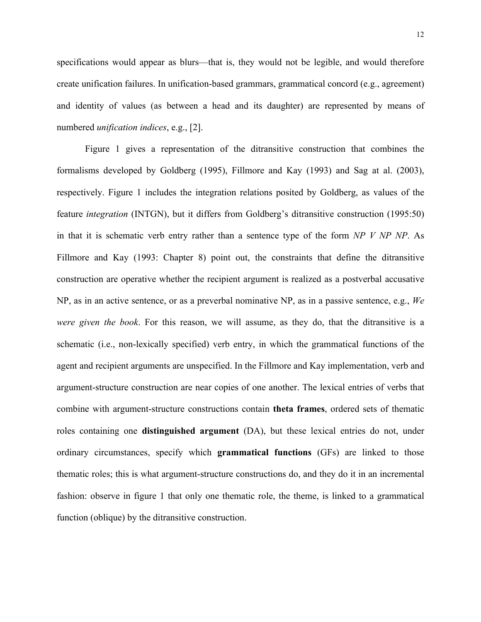specifications would appear as blurs—that is, they would not be legible, and would therefore create unification failures. In unification-based grammars, grammatical concord (e.g., agreement) and identity of values (as between a head and its daughter) are represented by means of numbered *unification indices*, e.g., [2].

Figure 1 gives a representation of the ditransitive construction that combines the formalisms developed by Goldberg (1995), Fillmore and Kay (1993) and Sag at al. (2003), respectively. Figure 1 includes the integration relations posited by Goldberg, as values of the feature *integration* (INTGN), but it differs from Goldberg's ditransitive construction (1995:50) in that it is schematic verb entry rather than a sentence type of the form *NP V NP NP*. As Fillmore and Kay (1993: Chapter 8) point out, the constraints that define the ditransitive construction are operative whether the recipient argument is realized as a postverbal accusative NP, as in an active sentence, or as a preverbal nominative NP, as in a passive sentence, e.g., *We were given the book*. For this reason, we will assume, as they do, that the ditransitive is a schematic (i.e., non-lexically specified) verb entry, in which the grammatical functions of the agent and recipient arguments are unspecified. In the Fillmore and Kay implementation, verb and argument-structure construction are near copies of one another. The lexical entries of verbs that combine with argument-structure constructions contain **theta frames**, ordered sets of thematic roles containing one **distinguished argument** (DA), but these lexical entries do not, under ordinary circumstances, specify which **grammatical functions** (GFs) are linked to those thematic roles; this is what argument-structure constructions do, and they do it in an incremental fashion: observe in figure 1 that only one thematic role, the theme, is linked to a grammatical function (oblique) by the ditransitive construction.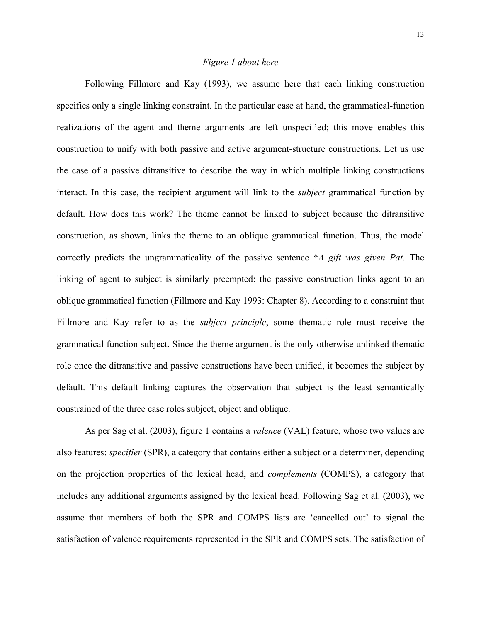#### *Figure 1 about here*

Following Fillmore and Kay (1993), we assume here that each linking construction specifies only a single linking constraint. In the particular case at hand, the grammatical-function realizations of the agent and theme arguments are left unspecified; this move enables this construction to unify with both passive and active argument-structure constructions. Let us use the case of a passive ditransitive to describe the way in which multiple linking constructions interact. In this case, the recipient argument will link to the *subject* grammatical function by default. How does this work? The theme cannot be linked to subject because the ditransitive construction, as shown, links the theme to an oblique grammatical function. Thus, the model correctly predicts the ungrammaticality of the passive sentence \**A gift was given Pat*. The linking of agent to subject is similarly preempted: the passive construction links agent to an oblique grammatical function (Fillmore and Kay 1993: Chapter 8). According to a constraint that Fillmore and Kay refer to as the *subject principle*, some thematic role must receive the grammatical function subject. Since the theme argument is the only otherwise unlinked thematic role once the ditransitive and passive constructions have been unified, it becomes the subject by default. This default linking captures the observation that subject is the least semantically constrained of the three case roles subject, object and oblique.

As per Sag et al. (2003), figure 1 contains a *valence* (VAL) feature, whose two values are also features: *specifier* (SPR), a category that contains either a subject or a determiner, depending on the projection properties of the lexical head, and *complements* (COMPS), a category that includes any additional arguments assigned by the lexical head. Following Sag et al. (2003), we assume that members of both the SPR and COMPS lists are 'cancelled out' to signal the satisfaction of valence requirements represented in the SPR and COMPS sets. The satisfaction of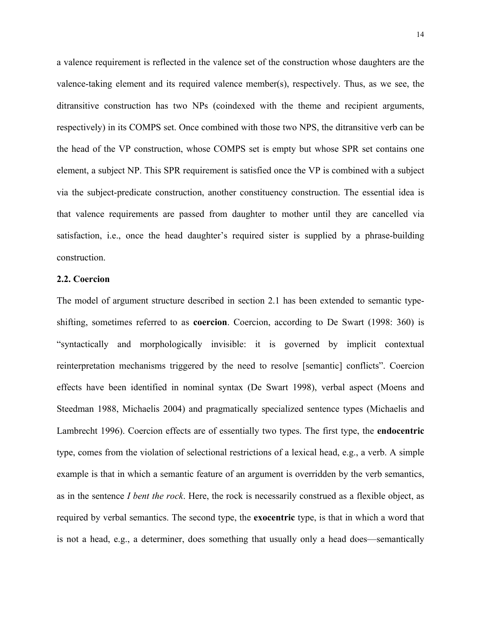a valence requirement is reflected in the valence set of the construction whose daughters are the valence-taking element and its required valence member(s), respectively. Thus, as we see, the ditransitive construction has two NPs (coindexed with the theme and recipient arguments, respectively) in its COMPS set. Once combined with those two NPS, the ditransitive verb can be the head of the VP construction, whose COMPS set is empty but whose SPR set contains one element, a subject NP. This SPR requirement is satisfied once the VP is combined with a subject via the subject-predicate construction, another constituency construction. The essential idea is that valence requirements are passed from daughter to mother until they are cancelled via satisfaction, i.e., once the head daughter's required sister is supplied by a phrase-building construction.

#### **2.2. Coercion**

The model of argument structure described in section 2.1 has been extended to semantic typeshifting, sometimes referred to as **coercion**. Coercion, according to De Swart (1998: 360) is "syntactically and morphologically invisible: it is governed by implicit contextual reinterpretation mechanisms triggered by the need to resolve [semantic] conflicts". Coercion effects have been identified in nominal syntax (De Swart 1998), verbal aspect (Moens and Steedman 1988, Michaelis 2004) and pragmatically specialized sentence types (Michaelis and Lambrecht 1996). Coercion effects are of essentially two types. The first type, the **endocentric** type, comes from the violation of selectional restrictions of a lexical head, e.g., a verb. A simple example is that in which a semantic feature of an argument is overridden by the verb semantics, as in the sentence *I bent the rock*. Here, the rock is necessarily construed as a flexible object, as required by verbal semantics. The second type, the **exocentric** type, is that in which a word that is not a head, e.g., a determiner, does something that usually only a head does—semantically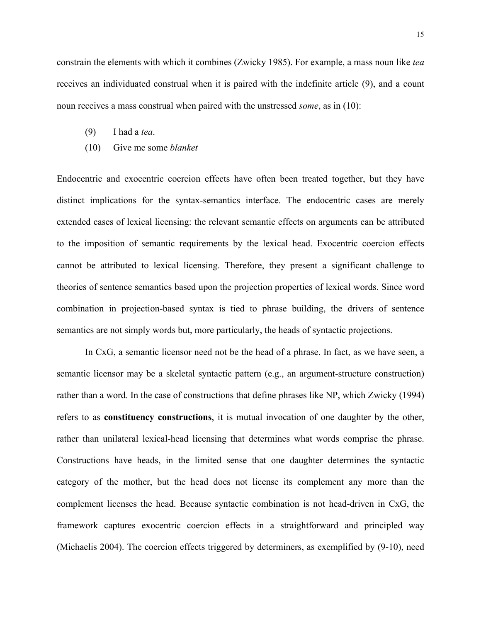constrain the elements with which it combines (Zwicky 1985). For example, a mass noun like *tea* receives an individuated construal when it is paired with the indefinite article (9), and a count noun receives a mass construal when paired with the unstressed *some*, as in (10):

- (9) I had a *tea*.
- (10) Give me some *blanket*

Endocentric and exocentric coercion effects have often been treated together, but they have distinct implications for the syntax-semantics interface. The endocentric cases are merely extended cases of lexical licensing: the relevant semantic effects on arguments can be attributed to the imposition of semantic requirements by the lexical head. Exocentric coercion effects cannot be attributed to lexical licensing. Therefore, they present a significant challenge to theories of sentence semantics based upon the projection properties of lexical words. Since word combination in projection-based syntax is tied to phrase building, the drivers of sentence semantics are not simply words but, more particularly, the heads of syntactic projections.

In CxG, a semantic licensor need not be the head of a phrase. In fact, as we have seen, a semantic licensor may be a skeletal syntactic pattern (e.g., an argument-structure construction) rather than a word. In the case of constructions that define phrases like NP, which Zwicky (1994) refers to as **constituency constructions**, it is mutual invocation of one daughter by the other, rather than unilateral lexical-head licensing that determines what words comprise the phrase. Constructions have heads, in the limited sense that one daughter determines the syntactic category of the mother, but the head does not license its complement any more than the complement licenses the head. Because syntactic combination is not head-driven in CxG, the framework captures exocentric coercion effects in a straightforward and principled way (Michaelis 2004). The coercion effects triggered by determiners, as exemplified by (9-10), need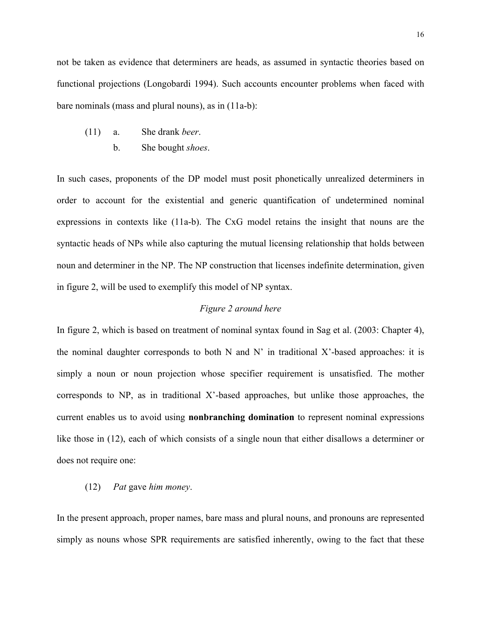not be taken as evidence that determiners are heads, as assumed in syntactic theories based on functional projections (Longobardi 1994). Such accounts encounter problems when faced with bare nominals (mass and plural nouns), as in (11a-b):

- (11) a. She drank *beer*.
	- b. She bought *shoes*.

In such cases, proponents of the DP model must posit phonetically unrealized determiners in order to account for the existential and generic quantification of undetermined nominal expressions in contexts like (11a-b). The CxG model retains the insight that nouns are the syntactic heads of NPs while also capturing the mutual licensing relationship that holds between noun and determiner in the NP. The NP construction that licenses indefinite determination, given in figure 2, will be used to exemplify this model of NP syntax.

#### *Figure 2 around here*

In figure 2, which is based on treatment of nominal syntax found in Sag et al. (2003: Chapter 4), the nominal daughter corresponds to both N and N' in traditional X'-based approaches: it is simply a noun or noun projection whose specifier requirement is unsatisfied. The mother corresponds to NP, as in traditional X'-based approaches, but unlike those approaches, the current enables us to avoid using **nonbranching domination** to represent nominal expressions like those in (12), each of which consists of a single noun that either disallows a determiner or does not require one:

#### (12) *Pat* gave *him money*.

In the present approach, proper names, bare mass and plural nouns, and pronouns are represented simply as nouns whose SPR requirements are satisfied inherently, owing to the fact that these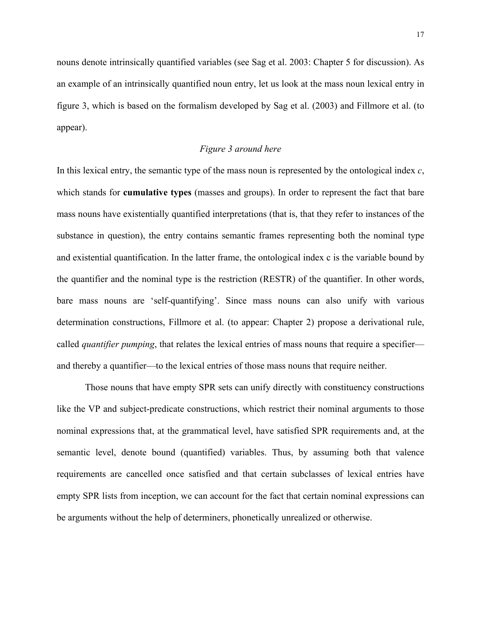nouns denote intrinsically quantified variables (see Sag et al. 2003: Chapter 5 for discussion). As an example of an intrinsically quantified noun entry, let us look at the mass noun lexical entry in figure 3, which is based on the formalism developed by Sag et al. (2003) and Fillmore et al. (to appear).

#### *Figure 3 around here*

In this lexical entry, the semantic type of the mass noun is represented by the ontological index *c*, which stands for **cumulative types** (masses and groups). In order to represent the fact that bare mass nouns have existentially quantified interpretations (that is, that they refer to instances of the substance in question), the entry contains semantic frames representing both the nominal type and existential quantification. In the latter frame, the ontological index c is the variable bound by the quantifier and the nominal type is the restriction (RESTR) of the quantifier. In other words, bare mass nouns are 'self-quantifying'. Since mass nouns can also unify with various determination constructions, Fillmore et al. (to appear: Chapter 2) propose a derivational rule, called *quantifier pumping*, that relates the lexical entries of mass nouns that require a specifier and thereby a quantifier—to the lexical entries of those mass nouns that require neither.

Those nouns that have empty SPR sets can unify directly with constituency constructions like the VP and subject-predicate constructions, which restrict their nominal arguments to those nominal expressions that, at the grammatical level, have satisfied SPR requirements and, at the semantic level, denote bound (quantified) variables. Thus, by assuming both that valence requirements are cancelled once satisfied and that certain subclasses of lexical entries have empty SPR lists from inception, we can account for the fact that certain nominal expressions can be arguments without the help of determiners, phonetically unrealized or otherwise.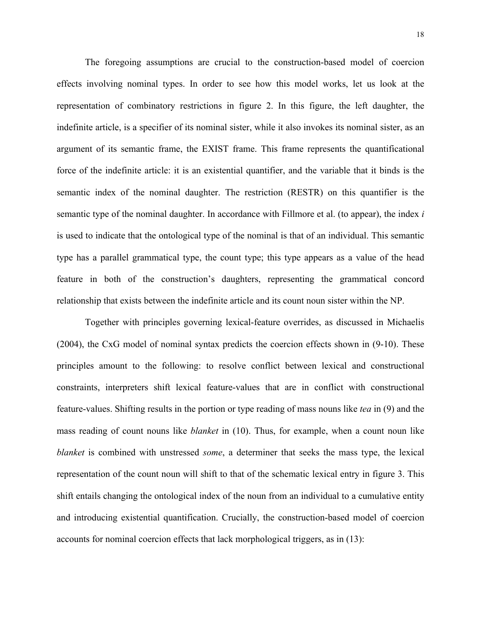The foregoing assumptions are crucial to the construction-based model of coercion effects involving nominal types. In order to see how this model works, let us look at the representation of combinatory restrictions in figure 2. In this figure, the left daughter, the indefinite article, is a specifier of its nominal sister, while it also invokes its nominal sister, as an argument of its semantic frame, the EXIST frame. This frame represents the quantificational force of the indefinite article: it is an existential quantifier, and the variable that it binds is the semantic index of the nominal daughter. The restriction (RESTR) on this quantifier is the semantic type of the nominal daughter. In accordance with Fillmore et al. (to appear), the index *i* is used to indicate that the ontological type of the nominal is that of an individual. This semantic type has a parallel grammatical type, the count type; this type appears as a value of the head feature in both of the construction's daughters, representing the grammatical concord relationship that exists between the indefinite article and its count noun sister within the NP.

Together with principles governing lexical-feature overrides, as discussed in Michaelis (2004), the CxG model of nominal syntax predicts the coercion effects shown in (9-10). These principles amount to the following: to resolve conflict between lexical and constructional constraints, interpreters shift lexical feature-values that are in conflict with constructional feature-values. Shifting results in the portion or type reading of mass nouns like *tea* in (9) and the mass reading of count nouns like *blanket* in (10). Thus, for example, when a count noun like *blanket* is combined with unstressed *some*, a determiner that seeks the mass type, the lexical representation of the count noun will shift to that of the schematic lexical entry in figure 3. This shift entails changing the ontological index of the noun from an individual to a cumulative entity and introducing existential quantification. Crucially, the construction-based model of coercion accounts for nominal coercion effects that lack morphological triggers, as in (13):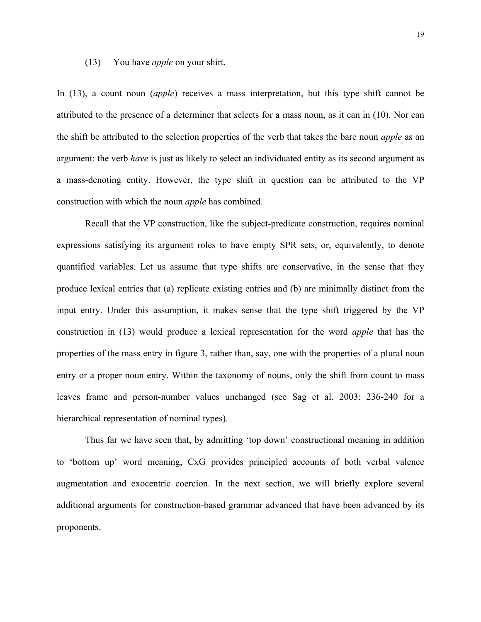#### (13) You have *apple* on your shirt.

In (13), a count noun (*apple*) receives a mass interpretation, but this type shift cannot be attributed to the presence of a determiner that selects for a mass noun, as it can in (10). Nor can the shift be attributed to the selection properties of the verb that takes the bare noun *apple* as an argument: the verb *have* is just as likely to select an individuated entity as its second argument as a mass-denoting entity. However, the type shift in question can be attributed to the VP construction with which the noun *apple* has combined.

Recall that the VP construction, like the subject-predicate construction, requires nominal expressions satisfying its argument roles to have empty SPR sets, or, equivalently, to denote quantified variables. Let us assume that type shifts are conservative, in the sense that they produce lexical entries that (a) replicate existing entries and (b) are minimally distinct from the input entry. Under this assumption, it makes sense that the type shift triggered by the VP construction in (13) would produce a lexical representation for the word *apple* that has the properties of the mass entry in figure 3, rather than, say, one with the properties of a plural noun entry or a proper noun entry. Within the taxonomy of nouns, only the shift from count to mass leaves frame and person-number values unchanged (see Sag et al. 2003: 236-240 for a hierarchical representation of nominal types).

Thus far we have seen that, by admitting 'top down' constructional meaning in addition to 'bottom up' word meaning, CxG provides principled accounts of both verbal valence augmentation and exocentric coercion. In the next section, we will briefly explore several additional arguments for construction-based grammar advanced that have been advanced by its proponents.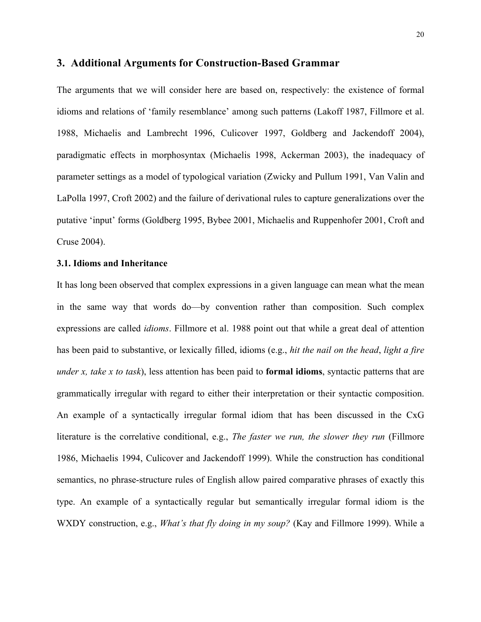#### **3. Additional Arguments for Construction-Based Grammar**

The arguments that we will consider here are based on, respectively: the existence of formal idioms and relations of 'family resemblance' among such patterns (Lakoff 1987, Fillmore et al. 1988, Michaelis and Lambrecht 1996, Culicover 1997, Goldberg and Jackendoff 2004), paradigmatic effects in morphosyntax (Michaelis 1998, Ackerman 2003), the inadequacy of parameter settings as a model of typological variation (Zwicky and Pullum 1991, Van Valin and LaPolla 1997, Croft 2002) and the failure of derivational rules to capture generalizations over the putative 'input' forms (Goldberg 1995, Bybee 2001, Michaelis and Ruppenhofer 2001, Croft and Cruse 2004).

#### **3.1. Idioms and Inheritance**

It has long been observed that complex expressions in a given language can mean what the mean in the same way that words do—by convention rather than composition. Such complex expressions are called *idioms*. Fillmore et al. 1988 point out that while a great deal of attention has been paid to substantive, or lexically filled, idioms (e.g., *hit the nail on the head*, *light a fire under x, take x to task*), less attention has been paid to **formal idioms**, syntactic patterns that are grammatically irregular with regard to either their interpretation or their syntactic composition. An example of a syntactically irregular formal idiom that has been discussed in the CxG literature is the correlative conditional, e.g., *The faster we run, the slower they run* (Fillmore 1986, Michaelis 1994, Culicover and Jackendoff 1999). While the construction has conditional semantics, no phrase-structure rules of English allow paired comparative phrases of exactly this type. An example of a syntactically regular but semantically irregular formal idiom is the WXDY construction, e.g., *What's that fly doing in my soup?* (Kay and Fillmore 1999). While a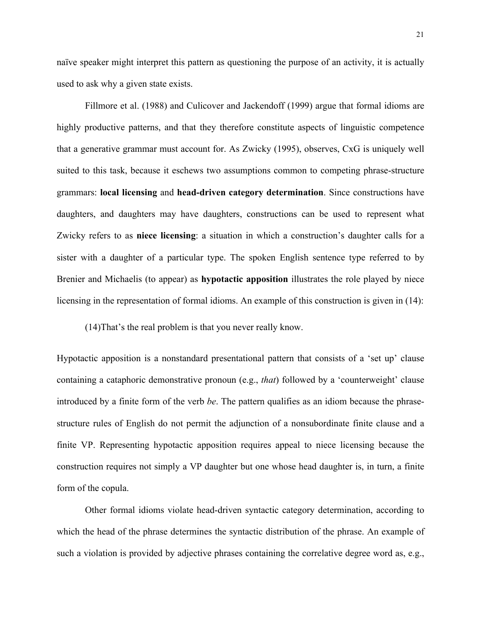naïve speaker might interpret this pattern as questioning the purpose of an activity, it is actually used to ask why a given state exists.

Fillmore et al. (1988) and Culicover and Jackendoff (1999) argue that formal idioms are highly productive patterns, and that they therefore constitute aspects of linguistic competence that a generative grammar must account for. As Zwicky (1995), observes, CxG is uniquely well suited to this task, because it eschews two assumptions common to competing phrase-structure grammars: **local licensing** and **head-driven category determination**. Since constructions have daughters, and daughters may have daughters, constructions can be used to represent what Zwicky refers to as **niece licensing**: a situation in which a construction's daughter calls for a sister with a daughter of a particular type. The spoken English sentence type referred to by Brenier and Michaelis (to appear) as **hypotactic apposition** illustrates the role played by niece licensing in the representation of formal idioms. An example of this construction is given in (14):

(14)That's the real problem is that you never really know.

Hypotactic apposition is a nonstandard presentational pattern that consists of a 'set up' clause containing a cataphoric demonstrative pronoun (e.g., *that*) followed by a 'counterweight' clause introduced by a finite form of the verb *be*. The pattern qualifies as an idiom because the phrasestructure rules of English do not permit the adjunction of a nonsubordinate finite clause and a finite VP. Representing hypotactic apposition requires appeal to niece licensing because the construction requires not simply a VP daughter but one whose head daughter is, in turn, a finite form of the copula.

Other formal idioms violate head-driven syntactic category determination, according to which the head of the phrase determines the syntactic distribution of the phrase. An example of such a violation is provided by adjective phrases containing the correlative degree word as, e.g.,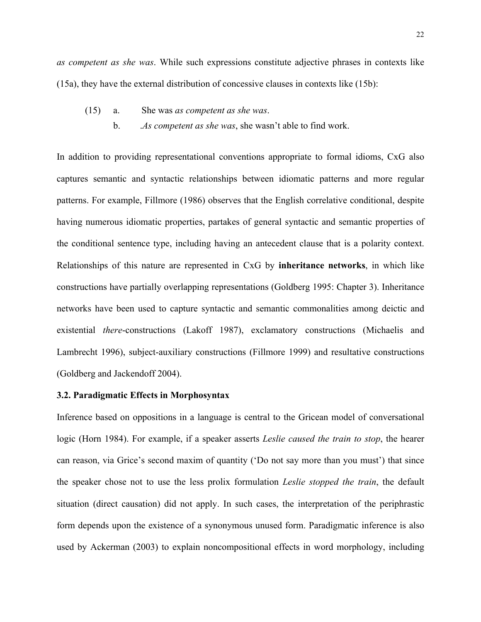*as competent as she was*. While such expressions constitute adjective phrases in contexts like (15a), they have the external distribution of concessive clauses in contexts like (15b):

- (15) a. She was *as competent as she was*.
	- b. .*As competent as she was*, she wasn't able to find work.

In addition to providing representational conventions appropriate to formal idioms, CxG also captures semantic and syntactic relationships between idiomatic patterns and more regular patterns. For example, Fillmore (1986) observes that the English correlative conditional, despite having numerous idiomatic properties, partakes of general syntactic and semantic properties of the conditional sentence type, including having an antecedent clause that is a polarity context. Relationships of this nature are represented in CxG by **inheritance networks**, in which like constructions have partially overlapping representations (Goldberg 1995: Chapter 3). Inheritance networks have been used to capture syntactic and semantic commonalities among deictic and existential *there*-constructions (Lakoff 1987), exclamatory constructions (Michaelis and Lambrecht 1996), subject-auxiliary constructions (Fillmore 1999) and resultative constructions (Goldberg and Jackendoff 2004).

#### **3.2. Paradigmatic Effects in Morphosyntax**

Inference based on oppositions in a language is central to the Gricean model of conversational logic (Horn 1984). For example, if a speaker asserts *Leslie caused the train to stop*, the hearer can reason, via Grice's second maxim of quantity ('Do not say more than you must') that since the speaker chose not to use the less prolix formulation *Leslie stopped the train*, the default situation (direct causation) did not apply. In such cases, the interpretation of the periphrastic form depends upon the existence of a synonymous unused form. Paradigmatic inference is also used by Ackerman (2003) to explain noncompositional effects in word morphology, including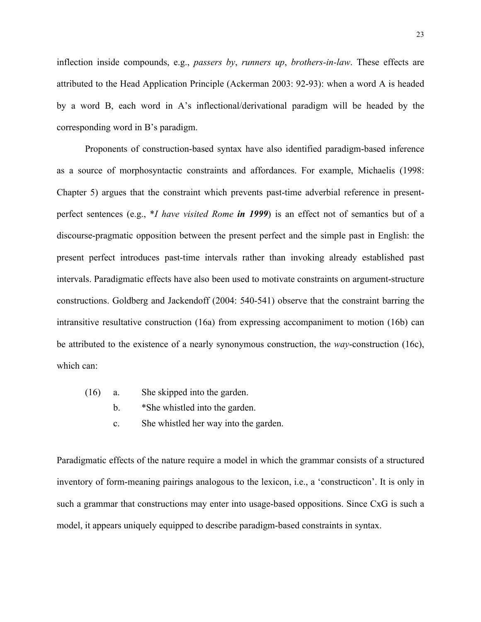inflection inside compounds, e.g., *passers by*, *runners up*, *brothers-in-law*. These effects are attributed to the Head Application Principle (Ackerman 2003: 92-93): when a word A is headed by a word B, each word in A's inflectional/derivational paradigm will be headed by the corresponding word in B's paradigm.

Proponents of construction-based syntax have also identified paradigm-based inference as a source of morphosyntactic constraints and affordances. For example, Michaelis (1998: Chapter 5) argues that the constraint which prevents past-time adverbial reference in presentperfect sentences (e.g., \**I have visited Rome in 1999*) is an effect not of semantics but of a discourse-pragmatic opposition between the present perfect and the simple past in English: the present perfect introduces past-time intervals rather than invoking already established past intervals. Paradigmatic effects have also been used to motivate constraints on argument-structure constructions. Goldberg and Jackendoff (2004: 540-541) observe that the constraint barring the intransitive resultative construction (16a) from expressing accompaniment to motion (16b) can be attributed to the existence of a nearly synonymous construction, the *way*-construction (16c), which can:

- (16) a. She skipped into the garden.
	- b. \*She whistled into the garden.
	- c. She whistled her way into the garden.

Paradigmatic effects of the nature require a model in which the grammar consists of a structured inventory of form-meaning pairings analogous to the lexicon, i.e., a 'constructicon'. It is only in such a grammar that constructions may enter into usage-based oppositions. Since CxG is such a model, it appears uniquely equipped to describe paradigm-based constraints in syntax.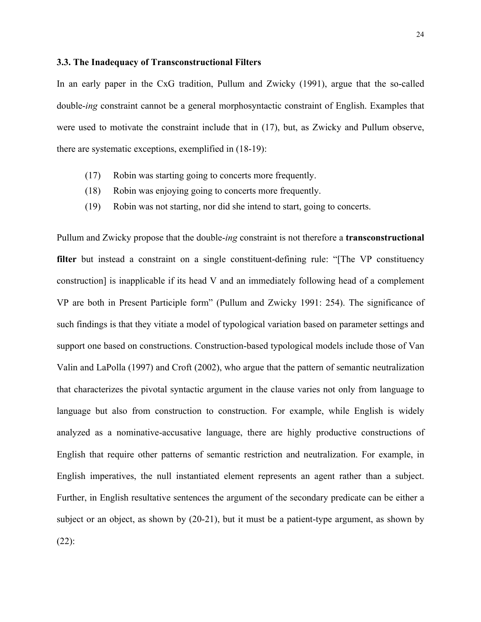#### **3.3. The Inadequacy of Transconstructional Filters**

In an early paper in the CxG tradition, Pullum and Zwicky (1991), argue that the so-called double-*ing* constraint cannot be a general morphosyntactic constraint of English. Examples that were used to motivate the constraint include that in (17), but, as Zwicky and Pullum observe, there are systematic exceptions, exemplified in (18-19):

- (17) Robin was starting going to concerts more frequently.
- (18) Robin was enjoying going to concerts more frequently.
- (19) Robin was not starting, nor did she intend to start, going to concerts.

Pullum and Zwicky propose that the double-*ing* constraint is not therefore a **transconstructional**  filter but instead a constraint on a single constituent-defining rule: "The VP constituency construction] is inapplicable if its head V and an immediately following head of a complement VP are both in Present Participle form" (Pullum and Zwicky 1991: 254). The significance of such findings is that they vitiate a model of typological variation based on parameter settings and support one based on constructions. Construction-based typological models include those of Van Valin and LaPolla (1997) and Croft (2002), who argue that the pattern of semantic neutralization that characterizes the pivotal syntactic argument in the clause varies not only from language to language but also from construction to construction. For example, while English is widely analyzed as a nominative-accusative language, there are highly productive constructions of English that require other patterns of semantic restriction and neutralization. For example, in English imperatives, the null instantiated element represents an agent rather than a subject. Further, in English resultative sentences the argument of the secondary predicate can be either a subject or an object, as shown by (20-21), but it must be a patient-type argument, as shown by (22):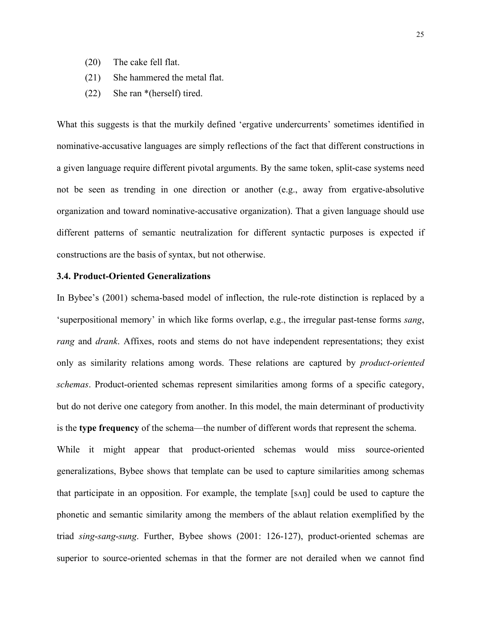- (20) The cake fell flat.
- (21) She hammered the metal flat.
- (22) She ran \*(herself) tired.

What this suggests is that the murkily defined 'ergative undercurrents' sometimes identified in nominative-accusative languages are simply reflections of the fact that different constructions in a given language require different pivotal arguments. By the same token, split-case systems need not be seen as trending in one direction or another (e.g., away from ergative-absolutive organization and toward nominative-accusative organization). That a given language should use different patterns of semantic neutralization for different syntactic purposes is expected if constructions are the basis of syntax, but not otherwise.

#### **3.4. Product-Oriented Generalizations**

In Bybee's (2001) schema-based model of inflection, the rule-rote distinction is replaced by a 'superpositional memory' in which like forms overlap, e.g., the irregular past-tense forms *sang*, *rang* and *drank*. Affixes, roots and stems do not have independent representations; they exist only as similarity relations among words. These relations are captured by *product-oriented schemas*. Product-oriented schemas represent similarities among forms of a specific category, but do not derive one category from another. In this model, the main determinant of productivity is the **type frequency** of the schema—the number of different words that represent the schema.

While it might appear that product-oriented schemas would miss source-oriented generalizations, Bybee shows that template can be used to capture similarities among schemas that participate in an opposition. For example, the template [sʌŋ] could be used to capture the phonetic and semantic similarity among the members of the ablaut relation exemplified by the triad *sing*-*sang*-*sung*. Further, Bybee shows (2001: 126-127), product-oriented schemas are superior to source-oriented schemas in that the former are not derailed when we cannot find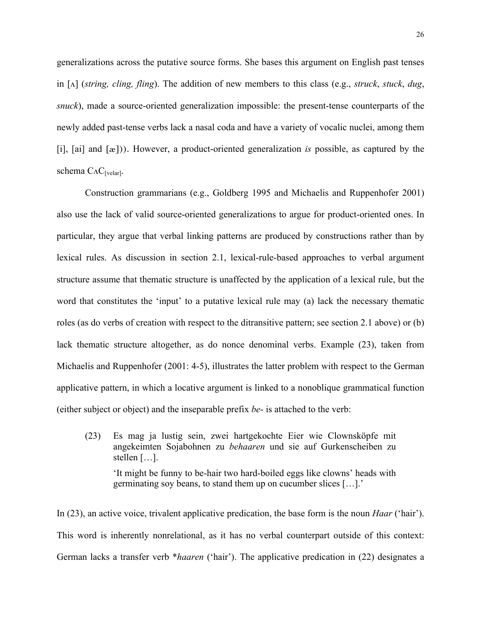generalizations across the putative source forms. She bases this argument on English past tenses in [ʌ] (*string, cling, fling*). The addition of new members to this class (e.g., *struck*, *stuck*, *dug*, *snuck*), made a source-oriented generalization impossible: the present-tense counterparts of the newly added past-tense verbs lack a nasal coda and have a variety of vocalic nuclei, among them [i], [ai] and [æ])). However, a product-oriented generalization *is* possible, as captured by the schema  $C_{\Lambda}C_{\text{[velar]}}$ .

Construction grammarians (e.g., Goldberg 1995 and Michaelis and Ruppenhofer 2001) also use the lack of valid source-oriented generalizations to argue for product-oriented ones. In particular, they argue that verbal linking patterns are produced by constructions rather than by lexical rules. As discussion in section 2.1, lexical-rule-based approaches to verbal argument structure assume that thematic structure is unaffected by the application of a lexical rule, but the word that constitutes the 'input' to a putative lexical rule may (a) lack the necessary thematic roles (as do verbs of creation with respect to the ditransitive pattern; see section 2.1 above) or (b) lack thematic structure altogether, as do nonce denominal verbs. Example (23), taken from Michaelis and Ruppenhofer (2001: 4-5), illustrates the latter problem with respect to the German applicative pattern, in which a locative argument is linked to a nonoblique grammatical function (either subject or object) and the inseparable prefix *be*- is attached to the verb:

(23) Es mag ja lustig sein, zwei hartgekochte Eier wie Clownsköpfe mit angekeimten Sojabohnen zu *behaaren* und sie auf Gurkenscheiben zu stellen […]. 'It might be funny to be-hair two hard-boiled eggs like clowns' heads with germinating soy beans, to stand them up on cucumber slices […].'

In (23), an active voice, trivalent applicative predication, the base form is the noun *Haar* ('hair'). This word is inherently nonrelational, as it has no verbal counterpart outside of this context: German lacks a transfer verb \**haaren* ('hair'). The applicative predication in (22) designates a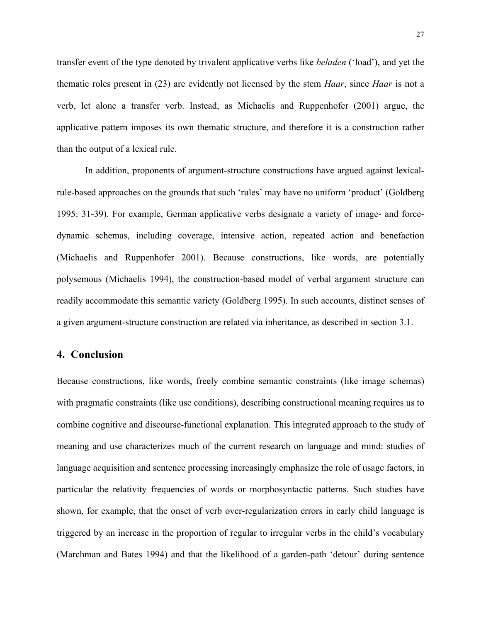transfer event of the type denoted by trivalent applicative verbs like *beladen* ('load'), and yet the thematic roles present in (23) are evidently not licensed by the stem *Haar*, since *Haar* is not a verb, let alone a transfer verb. Instead, as Michaelis and Ruppenhofer (2001) argue, the applicative pattern imposes its own thematic structure, and therefore it is a construction rather than the output of a lexical rule.

In addition, proponents of argument-structure constructions have argued against lexicalrule-based approaches on the grounds that such 'rules' may have no uniform 'product' (Goldberg 1995: 31-39). For example, German applicative verbs designate a variety of image- and forcedynamic schemas, including coverage, intensive action, repeated action and benefaction (Michaelis and Ruppenhofer 2001). Because constructions, like words, are potentially polysemous (Michaelis 1994), the construction-based model of verbal argument structure can readily accommodate this semantic variety (Goldberg 1995). In such accounts, distinct senses of a given argument-structure construction are related via inheritance, as described in section 3.1.

## **4. Conclusion**

Because constructions, like words, freely combine semantic constraints (like image schemas) with pragmatic constraints (like use conditions), describing constructional meaning requires us to combine cognitive and discourse-functional explanation. This integrated approach to the study of meaning and use characterizes much of the current research on language and mind: studies of language acquisition and sentence processing increasingly emphasize the role of usage factors, in particular the relativity frequencies of words or morphosyntactic patterns. Such studies have shown, for example, that the onset of verb over-regularization errors in early child language is triggered by an increase in the proportion of regular to irregular verbs in the child's vocabulary (Marchman and Bates 1994) and that the likelihood of a garden-path 'detour' during sentence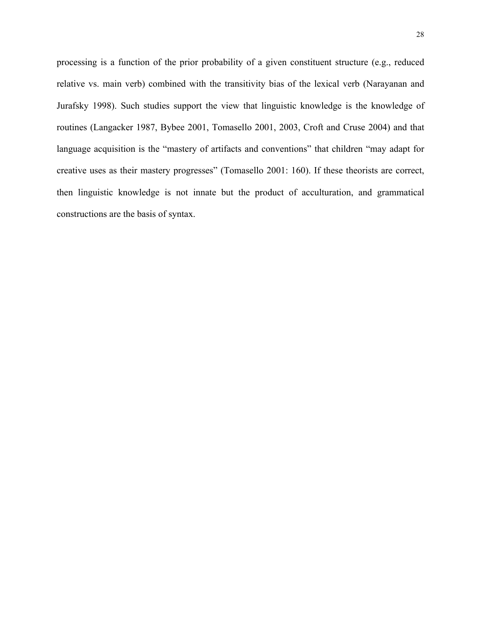processing is a function of the prior probability of a given constituent structure (e.g., reduced relative vs. main verb) combined with the transitivity bias of the lexical verb (Narayanan and Jurafsky 1998). Such studies support the view that linguistic knowledge is the knowledge of routines (Langacker 1987, Bybee 2001, Tomasello 2001, 2003, Croft and Cruse 2004) and that language acquisition is the "mastery of artifacts and conventions" that children "may adapt for creative uses as their mastery progresses" (Tomasello 2001: 160). If these theorists are correct, then linguistic knowledge is not innate but the product of acculturation, and grammatical constructions are the basis of syntax.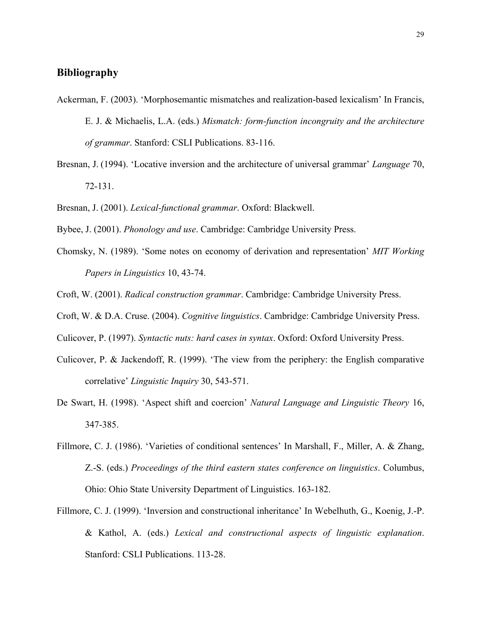### **Bibliography**

- Ackerman, F. (2003). 'Morphosemantic mismatches and realization-based lexicalism' In Francis, E. J. & Michaelis, L.A. (eds.) *Mismatch: form-function incongruity and the architecture of grammar*. Stanford: CSLI Publications. 83-116.
- Bresnan, J. (1994). 'Locative inversion and the architecture of universal grammar' *Language* 70, 72-131.
- Bresnan, J. (2001). *Lexical-functional grammar*. Oxford: Blackwell.
- Bybee, J. (2001). *Phonology and use*. Cambridge: Cambridge University Press.
- Chomsky, N. (1989). 'Some notes on economy of derivation and representation' *MIT Working Papers in Linguistics* 10, 43-74.
- Croft, W. (2001). *Radical construction grammar*. Cambridge: Cambridge University Press.
- Croft, W. & D.A. Cruse. (2004). *Cognitive linguistics*. Cambridge: Cambridge University Press.
- Culicover, P. (1997). *Syntactic nuts: hard cases in syntax*. Oxford: Oxford University Press.
- Culicover, P. & Jackendoff, R. (1999). 'The view from the periphery: the English comparative correlative' *Linguistic Inquiry* 30, 543-571.
- De Swart, H. (1998). 'Aspect shift and coercion' *Natural Language and Linguistic Theory* 16, 347-385.
- Fillmore, C. J. (1986). 'Varieties of conditional sentences' In Marshall, F., Miller, A. & Zhang, Z.-S. (eds.) *Proceedings of the third eastern states conference on linguistics*. Columbus, Ohio: Ohio State University Department of Linguistics. 163-182.
- Fillmore, C. J. (1999). 'Inversion and constructional inheritance' In Webelhuth, G., Koenig, J.-P. & Kathol, A. (eds.) *Lexical and constructional aspects of linguistic explanation*. Stanford: CSLI Publications. 113-28.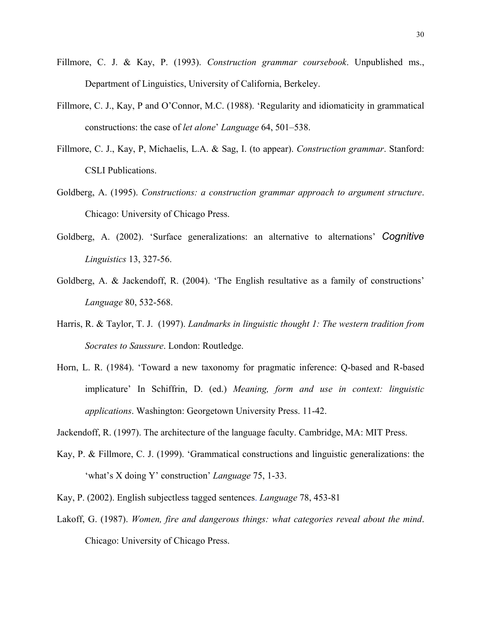- Fillmore, C. J. & Kay, P. (1993). *Construction grammar coursebook*. Unpublished ms., Department of Linguistics, University of California, Berkeley.
- Fillmore, C. J., Kay, P and O'Connor, M.C. (1988). 'Regularity and idiomaticity in grammatical constructions: the case of *let alone*' *Language* 64, 501–538.
- Fillmore, C. J., Kay, P, Michaelis, L.A. & Sag, I. (to appear). *Construction grammar*. Stanford: CSLI Publications.
- Goldberg, A. (1995). *Constructions: a construction grammar approach to argument structure*. Chicago: University of Chicago Press.
- Goldberg, A. (2002). 'Surface generalizations: an alternative to alternations' *Cognitive Linguistics* 13, 327-56.
- Goldberg, A. & Jackendoff, R. (2004). 'The English resultative as a family of constructions' *Language* 80, 532-568.
- Harris, R. & Taylor, T. J. (1997). *Landmarks in linguistic thought 1: The western tradition from Socrates to Saussure*. London: Routledge.
- Horn, L. R. (1984). 'Toward a new taxonomy for pragmatic inference: Q-based and R-based implicature' In Schiffrin, D. (ed.) *Meaning, form and use in context: linguistic applications*. Washington: Georgetown University Press. 11-42.
- Jackendoff, R. (1997). The architecture of the language faculty. Cambridge, MA: MIT Press.
- Kay, P. & Fillmore, C. J. (1999). 'Grammatical constructions and linguistic generalizations: the 'what's X doing Y' construction' *Language* 75, 1-33.
- Kay, P. (2002). English subjectless tagged sentences. *Language* 78, 453-81
- Lakoff, G. (1987). *Women, fire and dangerous things: what categories reveal about the mind*. Chicago: University of Chicago Press.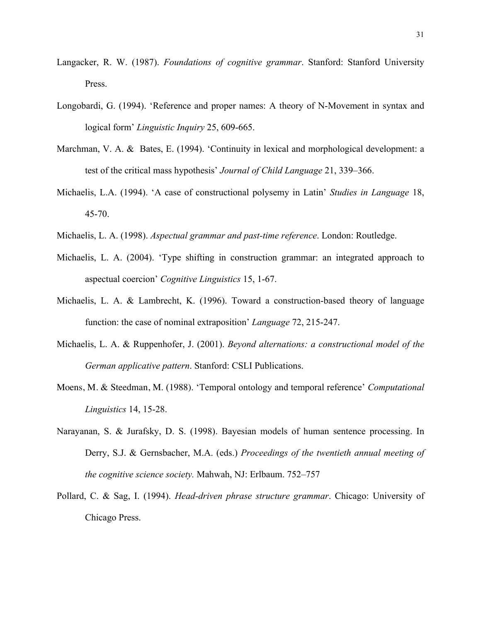- Langacker, R. W. (1987). *Foundations of cognitive grammar*. Stanford: Stanford University Press.
- Longobardi, G. (1994). 'Reference and proper names: A theory of N-Movement in syntax and logical form' *Linguistic Inquiry* 25, 609-665.
- Marchman, V. A. & Bates, E. (1994). 'Continuity in lexical and morphological development: a test of the critical mass hypothesis' *Journal of Child Language* 21, 339–366.
- Michaelis, L.A. (1994). 'A case of constructional polysemy in Latin' *Studies in Language* 18, 45-70.
- Michaelis, L. A. (1998). *Aspectual grammar and past-time reference*. London: Routledge.
- Michaelis, L. A. (2004). 'Type shifting in construction grammar: an integrated approach to aspectual coercion' *Cognitive Linguistics* 15, 1-67.
- Michaelis, L. A. & Lambrecht, K. (1996). Toward a construction-based theory of language function: the case of nominal extraposition' *Language* 72, 215-247.
- Michaelis, L. A. & Ruppenhofer, J. (2001). *Beyond alternations: a constructional model of the German applicative pattern*. Stanford: CSLI Publications.
- Moens, M. & Steedman, M. (1988). 'Temporal ontology and temporal reference' *Computational Linguistics* 14, 15-28.
- Narayanan, S. & Jurafsky, D. S. (1998). Bayesian models of human sentence processing. In Derry, S.J. & Gernsbacher, M.A. (eds.) *Proceedings of the twentieth annual meeting of the cognitive science society.* Mahwah, NJ: Erlbaum. 752–757
- Pollard, C. & Sag, I. (1994). *Head-driven phrase structure grammar*. Chicago: University of Chicago Press.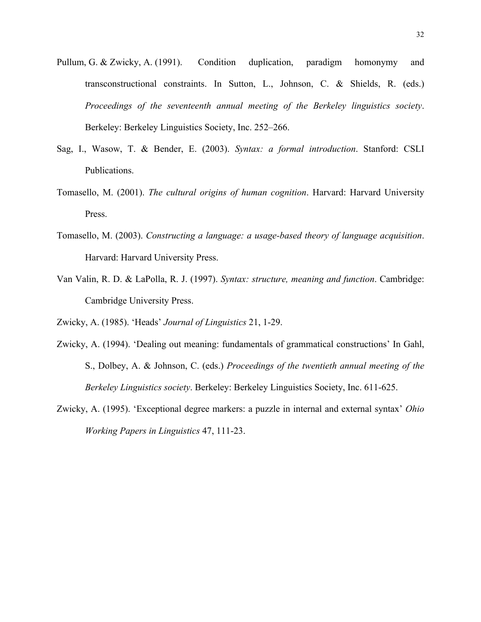- Pullum, G. & Zwicky, A. (1991). Condition duplication, paradigm homonymy and transconstructional constraints. In Sutton, L., Johnson, C. & Shields, R. (eds.) *Proceedings of the seventeenth annual meeting of the Berkeley linguistics society*. Berkeley: Berkeley Linguistics Society, Inc. 252–266.
- Sag, I., Wasow, T. & Bender, E. (2003). *Syntax: a formal introduction*. Stanford: CSLI Publications.
- Tomasello, M. (2001). *The cultural origins of human cognition*. Harvard: Harvard University Press.
- Tomasello, M. (2003). *Constructing a language: a usage-based theory of language acquisition*. Harvard: Harvard University Press.
- Van Valin, R. D. & LaPolla, R. J. (1997). *Syntax: structure, meaning and function*. Cambridge: Cambridge University Press.
- Zwicky, A. (1985). 'Heads' *Journal of Linguistics* 21, 1-29.
- Zwicky, A. (1994). 'Dealing out meaning: fundamentals of grammatical constructions' In Gahl, S., Dolbey, A. & Johnson, C. (eds.) *Proceedings of the twentieth annual meeting of the Berkeley Linguistics society*. Berkeley: Berkeley Linguistics Society, Inc. 611-625.
- Zwicky, A. (1995). 'Exceptional degree markers: a puzzle in internal and external syntax' *Ohio Working Papers in Linguistics* 47, 111-23.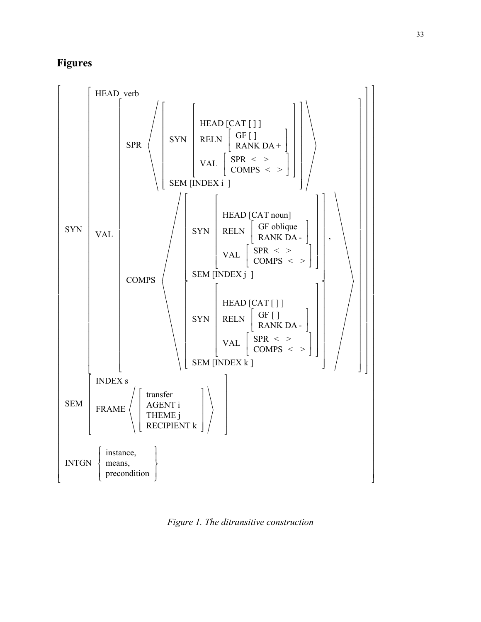# **Figures**



*Figure 1. The ditransitive construction*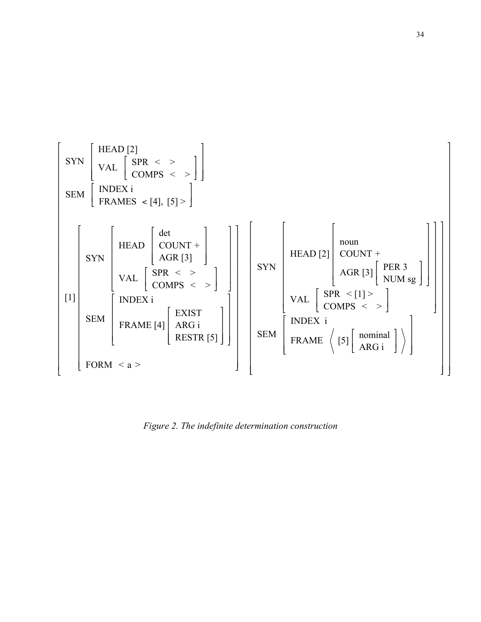

*Figure 2. The indefinite determination construction*